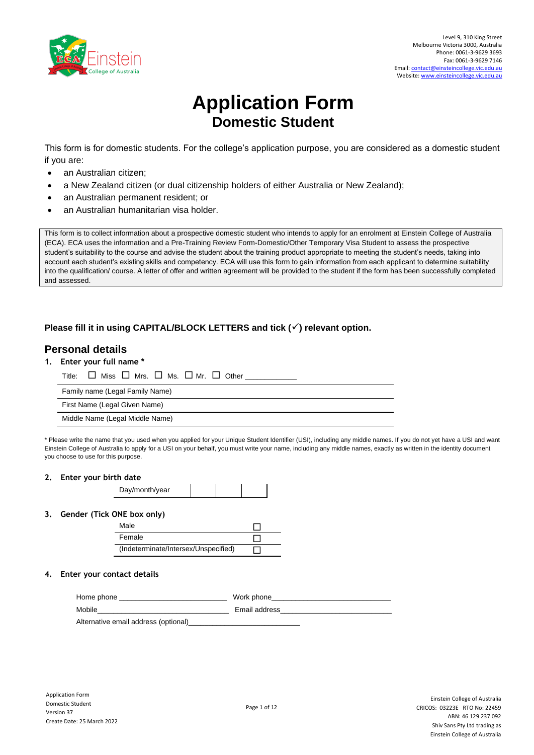

# **Application Form Domestic Student**

This form is for domestic students. For the college's application purpose, you are considered as a domestic student if you are:

- an Australian citizen;
- a New Zealand citizen (or dual citizenship holders of either Australia or New Zealand);
- an Australian permanent resident; or
- an Australian humanitarian visa holder.

This form is to collect information about a prospective domestic student who intends to apply for an enrolment at Einstein College of Australia (ECA). ECA uses the information and a Pre-Training Review Form-Domestic/Other Temporary Visa Student to assess the prospective student's suitability to the course and advise the student about the training product appropriate to meeting the student's needs, taking into account each student's existing skills and competency. ECA will use this form to gain information from each applicant to determine suitability into the qualification/ course. A letter of offer and written agreement will be provided to the student if the form has been successfully completed and assessed.

### **Please fill it in using CAPITAL/BLOCK LETTERS and tick (**✓**) relevant option.**

## **Personal details**

**1. Enter your full name \*** 

| Title:                          | $\square$ Miss $\square$ Mrs. $\square$ Ms. $\square$ Mr. $\square$ Other _______ |
|---------------------------------|-----------------------------------------------------------------------------------|
| Family name (Legal Family Name) |                                                                                   |
| First Name (Legal Given Name)   |                                                                                   |
| Middle Name (Legal Middle Name) |                                                                                   |

\* Please write the name that you used when you applied for your Unique Student Identifier (USI), including any middle names. If you do not yet have a USI and want Einstein College of Australia to apply for a USI on your behalf, you must write your name, including any middle names, exactly as written in the identity document you choose to use for this purpose.

#### **2. Enter your birth date**

| Day/month/year |  |  |
|----------------|--|--|
|                |  |  |

#### **3. Gender (Tick ONE box only)**

| Male                                 |  |
|--------------------------------------|--|
| Female                               |  |
| (Indeterminate/Intersex/Unspecified) |  |

### **4. Enter your contact details**

| Home phone                           | Work phone    |
|--------------------------------------|---------------|
| Mobile                               | Email address |
| Alternative email address (optional) |               |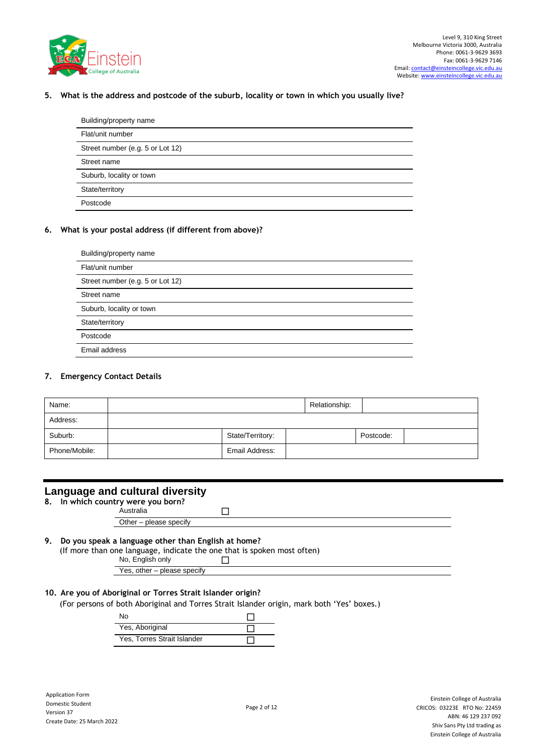

### **5. What is the address and postcode of the suburb, locality or town in which you usually live?**

| Building/property name           |
|----------------------------------|
| Flat/unit number                 |
| Street number (e.g. 5 or Lot 12) |
| Street name                      |
| Suburb, locality or town         |
| State/territory                  |
| Postcode                         |

### **6. What is your postal address (if different from above)?**

| Building/property name           |
|----------------------------------|
| Flat/unit number                 |
| Street number (e.g. 5 or Lot 12) |
| Street name                      |
| Suburb, locality or town         |
| State/territory                  |
| Postcode                         |
| Email address                    |

#### **7. Emergency Contact Details**

| Name:         |                  | Relationship: |           |  |
|---------------|------------------|---------------|-----------|--|
| Address:      |                  |               |           |  |
| Suburb:       | State/Territory: |               | Postcode: |  |
| Phone/Mobile: | Email Address:   |               |           |  |

### **Language and cultural diversity**

**8. In which country were you born?**

Australia and all and all and all and all and all and all and all and all and all and all and all and all and a Other – please specify

# **9. Do you speak a language other than English at home?**

(If more than one language, indicate the one that is spoken most often)

## No, English only

Yes, other – please specify

### **10. Are you of Aboriginal or Torres Strait Islander origin?**

(For persons of both Aboriginal and Torres Strait Islander origin, mark both 'Yes' boxes.)

| N٥                          |  |
|-----------------------------|--|
| Yes, Aboriginal             |  |
| Yes, Torres Strait Islander |  |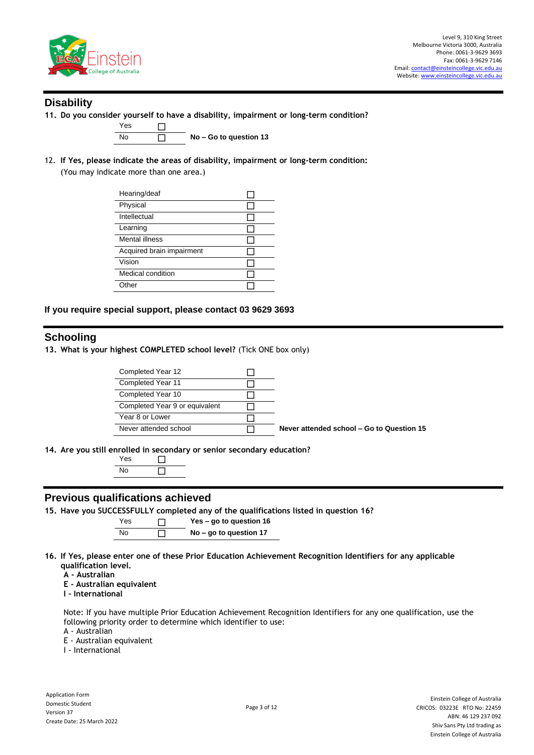

# **Disability**

**11. Do you consider yourself to have a disability, impairment or long-term condition?** 



 $\overline{\Box}$  No – Go to question 13

12. **If Yes, please indicate the areas of disability, impairment or long-term condition:** 

(You may indicate more than one area.)

| Hearing/deaf              |  |
|---------------------------|--|
| Physical                  |  |
| Intellectual              |  |
| Learning                  |  |
| Mental illness            |  |
| Acquired brain impairment |  |
| Vision                    |  |
| Medical condition         |  |
| Other                     |  |
|                           |  |

### **If you require special support, please contact 03 9629 3693**

# **Schooling**

**13. What is your highest COMPLETED school level?** (Tick ONE box only)

| Completed Year 12              |                                           |
|--------------------------------|-------------------------------------------|
| Completed Year 11              |                                           |
| Completed Year 10              |                                           |
| Completed Year 9 or equivalent |                                           |
| Year 8 or Lower                |                                           |
| Never attended school          | Never attended school – Go to Question 15 |
|                                |                                           |

**14. Are you still enrolled in secondary or senior secondary education?**

| es |  |
|----|--|
| n  |  |

### **Previous qualifications achieved**

**15. Have you SUCCESSFULLY completed any of the qualifications listed in question 16?**

Yes **Yes – go to question 16** No **No – go to question 17**

- **16. If Yes, please enter one of these Prior Education Achievement Recognition Identifiers for any applicable qualification level.**
	- **A - Australian**
	- **E - Australian equivalent**
	- **I – International**

Note: If you have multiple Prior Education Achievement Recognition Identifiers for any one qualification, use the following priority order to determine which identifier to use:

A - Australian

E - Australian equivalent

I - International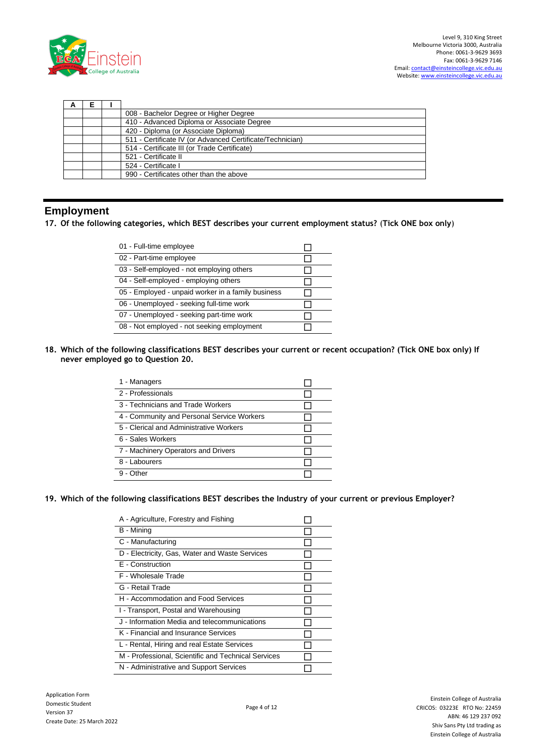

| A |  |                                                           |  |
|---|--|-----------------------------------------------------------|--|
|   |  | 008 - Bachelor Degree or Higher Degree                    |  |
|   |  | 410 - Advanced Diploma or Associate Degree                |  |
|   |  | 420 - Diploma (or Associate Diploma)                      |  |
|   |  | 511 - Certificate IV (or Advanced Certificate/Technician) |  |
|   |  | 514 - Certificate III (or Trade Certificate)              |  |
|   |  | 521 - Certificate II                                      |  |
|   |  | 524 - Certificate I                                       |  |
|   |  | 990 - Certificates other than the above                   |  |

# **Employment**

**17. Of the following categories, which BEST describes your current employment status?** (**Tick ONE box only**)

| 01 - Full-time employee                            |  |
|----------------------------------------------------|--|
| 02 - Part-time employee                            |  |
| 03 - Self-employed - not employing others          |  |
| 04 - Self-employed - employing others              |  |
| 05 - Employed - unpaid worker in a family business |  |
| 06 - Unemployed - seeking full-time work           |  |
| 07 - Unemployed - seeking part-time work           |  |
| 08 - Not employed - not seeking employment         |  |

**18. Which of the following classifications BEST describes your current or recent occupation? (Tick ONE box only) If never employed go to Question 20.**

| 1 - Managers                               |  |
|--------------------------------------------|--|
| 2 - Professionals                          |  |
| 3 - Technicians and Trade Workers          |  |
| 4 - Community and Personal Service Workers |  |
| 5 - Clerical and Administrative Workers    |  |
| 6 - Sales Workers                          |  |
| 7 - Machinery Operators and Drivers        |  |
| 8 - Labourers                              |  |
| $9 -$ Other                                |  |

### **19. Which of the following classifications BEST describes the Industry of your current or previous Employer?**

| A - Agriculture, Forestry and Fishing               |  |
|-----------------------------------------------------|--|
| B - Mining                                          |  |
| C - Manufacturing                                   |  |
| D - Electricity, Gas, Water and Waste Services      |  |
| E - Construction                                    |  |
| F - Wholesale Trade                                 |  |
| G - Retail Trade                                    |  |
| H - Accommodation and Food Services                 |  |
| I - Transport, Postal and Warehousing               |  |
| J - Information Media and telecommunications        |  |
| K - Financial and Insurance Services                |  |
| L - Rental, Hiring and real Estate Services         |  |
| M - Professional, Scientific and Technical Services |  |
| N - Administrative and Support Services             |  |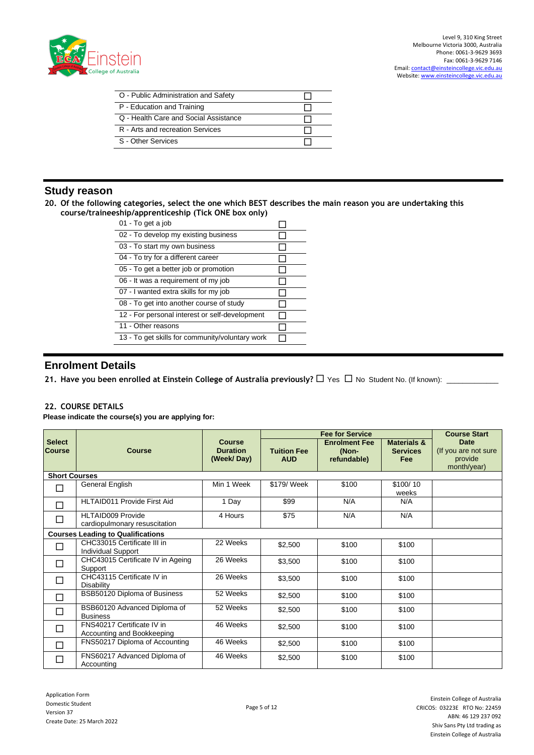

Level 9, 310 King Street Melbourne Victoria 3000, Australia Phone: 0061-3-9629 3693 Fax: 0061-3-9629 7146 Email[: contact@einsteincollege.vic.edu.au](mailto:contact@einsteincollge.vic.edu.au) Website[: www.einsteincollege.vic.edu.au](http://www.einsteincollege.vic.edu.au/)

| O - Public Administration and Safety  |  |
|---------------------------------------|--|
| P - Education and Training            |  |
| Q - Health Care and Social Assistance |  |
| R - Arts and recreation Services      |  |
| S - Other Services                    |  |

# **Study reason**

**20. Of the following categories, select the one which BEST describes the main reason you are undertaking this course/traineeship/apprenticeship (Tick ONE box only)**

| Comprapprendeesing (Tiek One box only)          |  |  |  |  |  |
|-------------------------------------------------|--|--|--|--|--|
| 01 - To get a job                               |  |  |  |  |  |
| 02 - To develop my existing business            |  |  |  |  |  |
| 03 - To start my own business                   |  |  |  |  |  |
| 04 - To try for a different career              |  |  |  |  |  |
| 05 - To get a better job or promotion           |  |  |  |  |  |
| 06 - It was a requirement of my job             |  |  |  |  |  |
| 07 - I wanted extra skills for my job           |  |  |  |  |  |
| 08 - To get into another course of study        |  |  |  |  |  |
| 12 - For personal interest or self-development  |  |  |  |  |  |
| 11 - Other reasons                              |  |  |  |  |  |
| 13 - To get skills for community/voluntary work |  |  |  |  |  |

# **Enrolment Details**

21. Have you been enrolled at Einstein College of Australia previously?  $\Box$  Yes  $\Box$  No Student No. (If known):  $\Box$ 

### **22. COURSE DETAILS**

**Please indicate the course(s) you are applying for:**

|                                |                                                           |                                                |                                  | <b>Fee for Service</b>                       |                                                  | <b>Course Start</b>                                           |
|--------------------------------|-----------------------------------------------------------|------------------------------------------------|----------------------------------|----------------------------------------------|--------------------------------------------------|---------------------------------------------------------------|
| <b>Select</b><br><b>Course</b> | <b>Course</b>                                             | <b>Course</b><br><b>Duration</b><br>(Week/Day) | <b>Tuition Fee</b><br><b>AUD</b> | <b>Enrolment Fee</b><br>(Non-<br>refundable) | <b>Materials &amp;</b><br><b>Services</b><br>Fee | <b>Date</b><br>(If you are not sure<br>provide<br>month/year) |
| <b>Short Courses</b>           |                                                           |                                                |                                  |                                              |                                                  |                                                               |
|                                | General English                                           | Min 1 Week                                     | \$179/ Week                      | \$100                                        | \$100/10<br>weeks                                |                                                               |
|                                | <b>HLTAID011 Provide First Aid</b>                        | 1 Day                                          | \$99                             | N/A                                          | N/A                                              |                                                               |
| $\Box$                         | <b>HLTAID009 Provide</b><br>cardiopulmonary resuscitation | 4 Hours                                        | \$75                             | N/A                                          | N/A                                              |                                                               |
|                                | <b>Courses Leading to Qualifications</b>                  |                                                |                                  |                                              |                                                  |                                                               |
|                                | CHC33015 Certificate III in<br><b>Individual Support</b>  | 22 Weeks                                       | \$2,500                          | \$100                                        | \$100                                            |                                                               |
| $\Box$                         | CHC43015 Certificate IV in Ageing<br>Support              | 26 Weeks                                       | \$3,500                          | \$100                                        | \$100                                            |                                                               |
|                                | CHC43115 Certificate IV in<br><b>Disability</b>           | 26 Weeks                                       | \$3,500                          | \$100                                        | \$100                                            |                                                               |
|                                | BSB50120 Diploma of Business                              | 52 Weeks                                       | \$2,500                          | \$100                                        | \$100                                            |                                                               |
| $\Box$                         | BSB60120 Advanced Diploma of<br><b>Business</b>           | 52 Weeks                                       | \$2,500                          | \$100                                        | \$100                                            |                                                               |
|                                | FNS40217 Certificate IV in<br>Accounting and Bookkeeping  | 46 Weeks                                       | \$2,500                          | \$100                                        | \$100                                            |                                                               |
|                                | FNS50217 Diploma of Accounting                            | 46 Weeks                                       | \$2,500                          | \$100                                        | \$100                                            |                                                               |
|                                | FNS60217 Advanced Diploma of<br>Accounting                | 46 Weeks                                       | \$2,500                          | \$100                                        | \$100                                            |                                                               |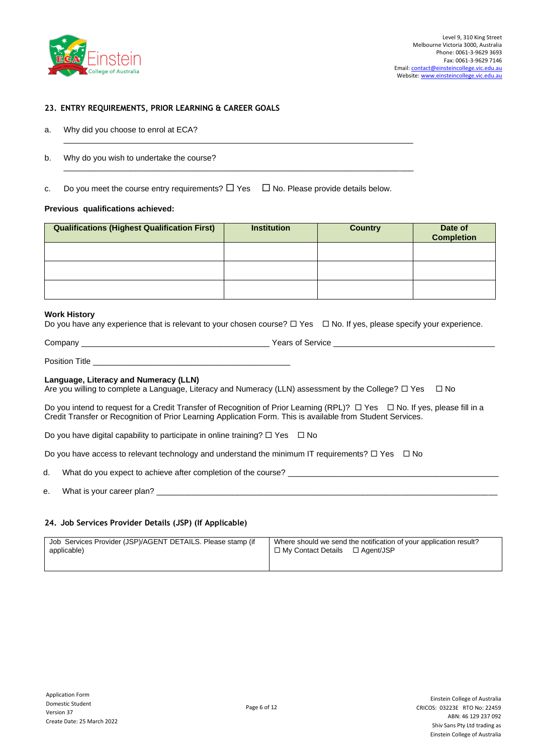

### **23. ENTRY REQUIREMENTS, PRIOR LEARNING & CAREER GOALS**

- a. Why did you choose to enrol at ECA?
- b. Why do you wish to undertake the course?
- c. Do you meet the course entry requirements?  $\Box$  Yes  $\Box$  No. Please provide details below.

\_\_\_\_\_\_\_\_\_\_\_\_\_\_\_\_\_\_\_\_\_\_\_\_\_\_\_\_\_\_\_\_\_\_\_\_\_\_\_\_\_\_\_\_\_\_\_\_\_\_\_\_\_\_\_\_\_\_\_\_\_\_\_\_\_\_\_\_\_\_\_\_\_\_\_\_\_\_

\_\_\_\_\_\_\_\_\_\_\_\_\_\_\_\_\_\_\_\_\_\_\_\_\_\_\_\_\_\_\_\_\_\_\_\_\_\_\_\_\_\_\_\_\_\_\_\_\_\_\_\_\_\_\_\_\_\_\_\_\_\_\_\_\_\_\_\_\_\_\_\_\_\_\_\_\_\_

#### **Previous qualifications achieved:**

| <b>Qualifications (Highest Qualification First)</b> | <b>Institution</b> | <b>Country</b> | Date of<br><b>Completion</b> |
|-----------------------------------------------------|--------------------|----------------|------------------------------|
|                                                     |                    |                |                              |
|                                                     |                    |                |                              |
|                                                     |                    |                |                              |

#### **Work History**

|  |  |  |  | Do you have any experience that is relevant to your chosen course? $\Box$ Yes $\Box$ No. If yes, please specify your experience. |  |  |  |  |  |
|--|--|--|--|----------------------------------------------------------------------------------------------------------------------------------|--|--|--|--|--|
|--|--|--|--|----------------------------------------------------------------------------------------------------------------------------------|--|--|--|--|--|

| Company                | Years <b>、</b><br>service<br>ΩT |  |
|------------------------|---------------------------------|--|
|                        |                                 |  |
| <b>Docitic</b><br>itle |                                 |  |

#### **Language, Literacy and Numeracy (LLN)**

Are you willing to complete a Language, Literacy and Numeracy (LLN) assessment by the College?  $\Box$  Yes  $\Box$  No

Do you intend to request for a Credit Transfer of Recognition of Prior Learning (RPL)?  $\Box$  Yes  $\Box$  No. If yes, please fill in a Credit Transfer or Recognition of Prior Learning Application Form. This is available from Student Services.

Do you have digital capability to participate in online training?  $\Box$  Yes  $\Box$  No

Do you have access to relevant technology and understand the minimum IT requirements?  $\Box$  Yes  $\Box$  No

d. What do you expect to achieve after completion of the course?

e. What is your career plan?

#### **24. Job Services Provider Details (JSP) (If Applicable)**

| Job Services Provider (JSP)/AGENT DETAILS. Please stamp (if | Where should we send the notification of your application result? |
|-------------------------------------------------------------|-------------------------------------------------------------------|
| applicable)                                                 | $\Box$ My Contact Details $\Box$ Agent/JSP                        |
|                                                             |                                                                   |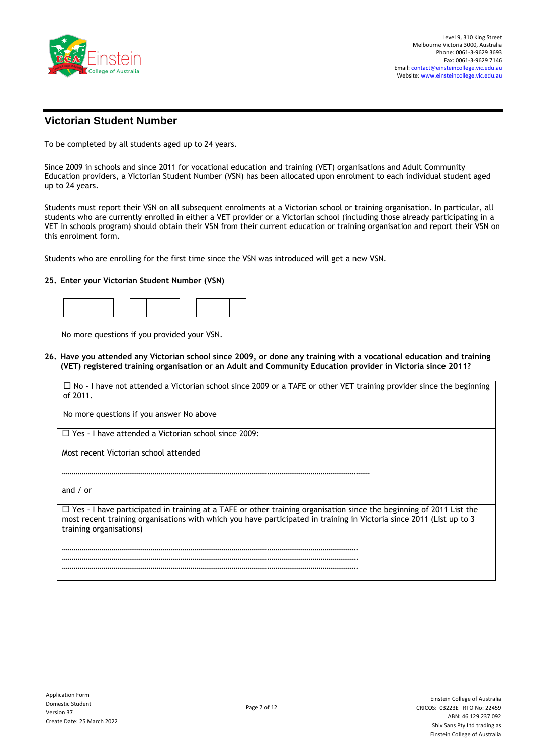

# **Victorian Student Number**

To be completed by all students aged up to 24 years.

Since 2009 in schools and since 2011 for vocational education and training (VET) organisations and Adult Community Education providers, a Victorian Student Number (VSN) has been allocated upon enrolment to each individual student aged up to 24 years.

Students must report their VSN on all subsequent enrolments at a Victorian school or training organisation. In particular, all students who are currently enrolled in either a VET provider or a Victorian school (including those already participating in a VET in schools program) should obtain their VSN from their current education or training organisation and report their VSN on this enrolment form.

Students who are enrolling for the first time since the VSN was introduced will get a new VSN.

…………………………………………………………………………………………………………………………………………

…………………………………………………………………………………………………………………………………… …………………………………………………………………………………………………………………………………… ……………………………………………………………………………………………………………………………………

### **25. Enter your Victorian Student Number (VSN)**

No more questions if you provided your VSN.

**26. Have you attended any Victorian school since 2009, or done any training with a vocational education and training (VET) registered training organisation or an Adult and Community Education provider in Victoria since 2011?**

 $\Box$  No - I have not attended a Victorian school since 2009 or a TAFE or other VET training provider since the beginning of 2011.

No more questions if you answer No above

□ Yes - I have attended a Victorian school since 2009:

Most recent Victorian school attended

and / or

 $\Box$  Yes - I have participated in training at a TAFE or other training organisation since the beginning of 2011 List the most recent training organisations with which you have participated in training in Victoria since 2011 (List up to 3 training organisations)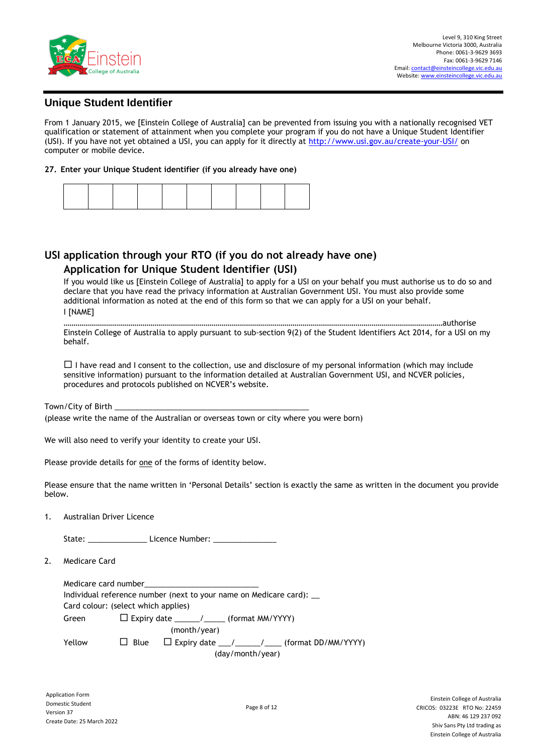

### **Unique Student Identifier**

From 1 January 2015, we [Einstein College of Australia] can be prevented from issuing you with a nationally recognised VET qualification or statement of attainment when you complete your program if you do not have a Unique Student Identifier (USI). If you have not yet obtained a USI, you can apply for it directly at<http://www.usi.gov.au/create-your-USI/> on computer or mobile device.

### **27. Enter your Unique Student identifier (if you already have one)**

# **USI application through your RTO (if you do not already have one) Application for Unique Student Identifier (USI)**

If you would like us [Einstein College of Australia] to apply for a USI on your behalf you must authorise us to do so and declare that you have read the privacy information at Australian Government USI. You must also provide some additional information as noted at the end of this form so that we can apply for a USI on your behalf. **I [NAME]** 

…………………………………………………………………………………………………………………………………………………………………………authorise Einstein College of Australia to apply pursuant to sub-section 9(2) of the Student Identifiers Act 2014, for a USI on my behalf.

 $\Box$  I have read and I consent to the collection, use and disclosure of my personal information (which may include sensitive information) pursuant to the information detailed at Australian Government USI, and NCVER policies, procedures and protocols published on NCVER's website.

Town/City of Birth \_

(please write the name of the Australian or overseas town or city where you were born)

We will also need to verify your identity to create your USI.

Please provide details for one of the forms of identity below.

Please ensure that the name written in 'Personal Details' section is exactly the same as written in the document you provide below.

1. Australian Driver Licence

| State:<br>Licence Number: |
|---------------------------|
|---------------------------|

2. Medicare Card

|              | Medicare card number                |                                                                   |  |  |  |
|--------------|-------------------------------------|-------------------------------------------------------------------|--|--|--|
|              |                                     | Individual reference number (next to your name on Medicare card): |  |  |  |
|              | Card colour: (select which applies) |                                                                   |  |  |  |
| Green        |                                     | $\Box$ Expiry date ______/_____ (format MM/YYYY)                  |  |  |  |
| (month/year) |                                     |                                                                   |  |  |  |
| Yellow       |                                     | $\Box$ Blue $\Box$ Expiry date __/____/______ (format DD/MM/YYYY) |  |  |  |
|              | (day/month/year)                    |                                                                   |  |  |  |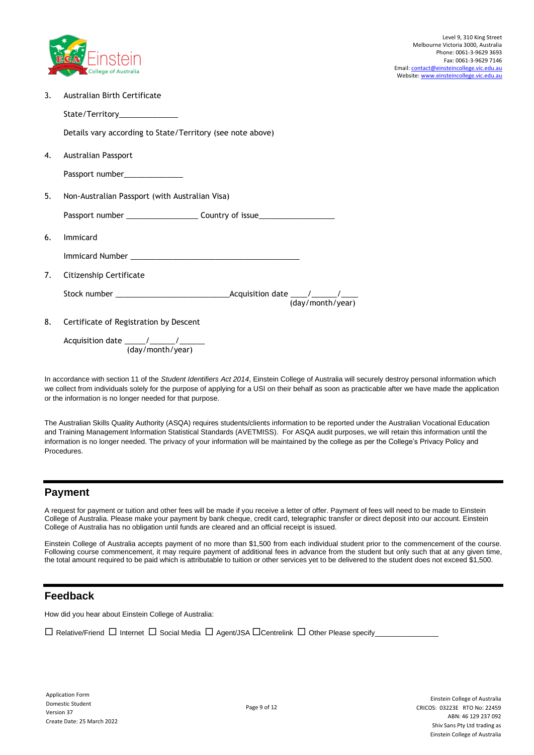

3. Australian Birth Certificate

State/Territory\_\_\_\_\_\_\_\_\_\_\_\_\_\_

Details vary according to State/Territory (see note above)

4. Australian Passport

Passport number

5. Non-Australian Passport (with Australian Visa)

Passport number \_\_\_\_\_\_\_\_\_\_\_\_\_\_\_\_\_\_\_\_\_\_\_\_\_ Country of issue\_\_\_\_\_\_\_\_\_\_\_\_\_\_\_\_\_\_\_\_\_\_

- 6. Immicard
	- Immicard Number \_\_\_\_\_\_\_\_\_\_\_\_\_\_\_\_\_\_\_\_\_\_\_\_\_\_\_\_\_\_\_\_\_\_\_\_\_\_\_\_
- 7. Citizenship Certificate

Stock number \_\_\_\_\_\_\_\_\_\_\_\_\_\_\_\_\_\_\_\_\_\_\_\_\_\_\_Acquisition date \_\_\_\_/\_\_\_\_\_\_/\_\_\_\_

(day/month/year)

8. Certificate of Registration by Descent

Acquisition date \_\_\_\_\_/\_\_\_\_\_\_/\_\_\_\_\_\_ (day/month/year)

In accordance with section 11 of the *Student Identifiers Act 2014*, Einstein College of Australia will securely destroy personal information which we collect from individuals solely for the purpose of applying for a USI on their behalf as soon as practicable after we have made the application or the information is no longer needed for that purpose.

The Australian Skills Quality Authority (ASQA) requires students/clients information to be reported under the Australian Vocational Education and Training Management Information Statistical Standards (AVETMISS). For ASQA audit purposes, we will retain this information until the information is no longer needed. The privacy of your information will be maintained by the college as per the College's Privacy Policy and Procedures.

# **Payment**

A request for payment or tuition and other fees will be made if you receive a letter of offer. Payment of fees will need to be made to Einstein College of Australia. Please make your payment by bank cheque, credit card, telegraphic transfer or direct deposit into our account. Einstein College of Australia has no obligation until funds are cleared and an official receipt is issued.

Einstein College of Australia accepts payment of no more than \$1,500 from each individual student prior to the commencement of the course. Following course commencement, it may require payment of additional fees in advance from the student but only such that at any given time, the total amount required to be paid which is attributable to tuition or other services yet to be delivered to the student does not exceed \$1,500.

# **Feedback**

How did you hear about Einstein College of Australia:

 $\Box$  Relative/Friend  $\Box$  Internet  $\Box$  Social Media  $\Box$  Agent/JSA  $\Box$ Centrelink  $\Box$  Other Please specify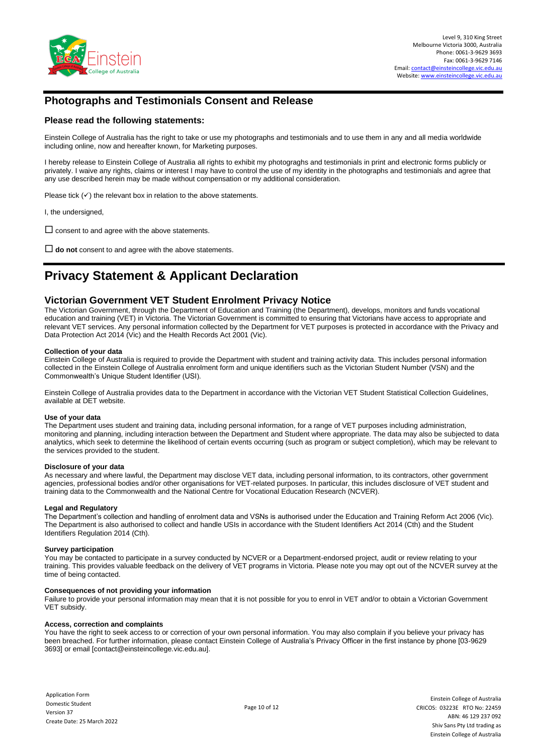

# **Photographs and Testimonials Consent and Release**

### **Please read the following statements:**

Einstein College of Australia has the right to take or use my photographs and testimonials and to use them in any and all media worldwide including online, now and hereafter known, for Marketing purposes.

I hereby release to Einstein College of Australia all rights to exhibit my photograghs and testimonials in print and electronic forms publicly or privately. I waive any rights, claims or interest I may have to control the use of my identity in the photographs and testimonials and agree that any use described herein may be made without compensation or my additional consideration.

Please tick  $(√)$  the relevant box in relation to the above statements.

I, the undersigned,

 $\square$  consent to and agree with the above statements.

**do not** consent to and agree with the above statements.

# **Privacy Statement & Applicant Declaration**

### **Victorian Government VET Student Enrolment Privacy Notice**

The Victorian Government, through the Department of Education and Training (the Department), develops, monitors and funds vocational education and training (VET) in Victoria. The Victorian Government is committed to ensuring that Victorians have access to appropriate and relevant VET services. Any personal information collected by the Department for VET purposes is protected in accordance with the Privacy and Data Protection Act 2014 (Vic) and the Health Records Act 2001 (Vic).

#### **Collection of your data**

Einstein College of Australia is required to provide the Department with student and training activity data. This includes personal information collected in the Einstein College of Australia enrolment form and unique identifiers such as the Victorian Student Number (VSN) and the Commonwealth's Unique Student Identifier (USI).

Einstein College of Australia provides data to the Department in accordance with the Victorian VET Student Statistical Collection Guidelines, available at DET website.

#### **Use of your data**

The Department uses student and training data, including personal information, for a range of VET purposes including administration, monitoring and planning, including interaction between the Department and Student where appropriate. The data may also be subjected to data analytics, which seek to determine the likelihood of certain events occurring (such as program or subject completion), which may be relevant to the services provided to the student.

#### **Disclosure of your data**

As necessary and where lawful, the Department may disclose VET data, including personal information, to its contractors, other government agencies, professional bodies and/or other organisations for VET-related purposes. In particular, this includes disclosure of VET student and training data to the Commonwealth and the National Centre for Vocational Education Research (NCVER).

#### **Legal and Regulatory**

The Department's collection and handling of enrolment data and VSNs is authorised under the Education and Training Reform Act 2006 (Vic). The Department is also authorised to collect and handle USIs in accordance with the Student Identifiers Act 2014 (Cth) and the Student Identifiers Regulation 2014 (Cth).

#### **Survey participation**

You may be contacted to participate in a survey conducted by NCVER or a Department-endorsed project, audit or review relating to your training. This provides valuable feedback on the delivery of VET programs in Victoria. Please note you may opt out of the NCVER survey at the time of being contacted.

#### **Consequences of not providing your information**

Failure to provide your personal information may mean that it is not possible for you to enrol in VET and/or to obtain a Victorian Government VET subsidy.

#### **Access, correction and complaints**

You have the right to seek access to or correction of your own personal information. You may also complain if you believe your privacy has been breached. For further information, please contact Einstein College of Australia's Privacy Officer in the first instance by phone [03-9629 3693] or email [contact@einsteincollege.vic.edu.au].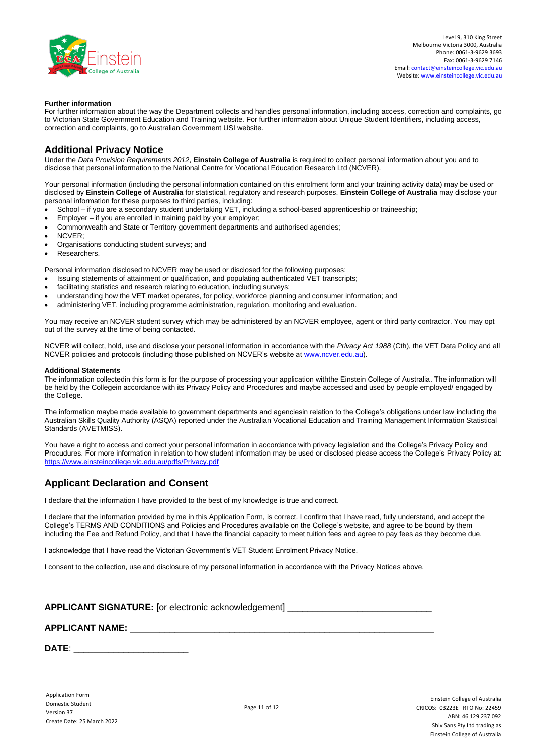

#### **Further information**

For further information about the way the Department collects and handles personal information, including access, correction and complaints, go to Victorian State Government Education and Training website. For further information about Unique Student Identifiers, including access, correction and complaints, go to Australian Government USI website.

### **Additional Privacy Notice**

Under the *Data Provision Requirements 2012*, **Einstein College of Australia** is required to collect personal information about you and to disclose that personal information to the National Centre for Vocational Education Research Ltd (NCVER).

Your personal information (including the personal information contained on this enrolment form and your training activity data) may be used or disclosed by **Einstein College of Australia** for statistical, regulatory and research purposes. **Einstein College of Australia** may disclose your personal information for these purposes to third parties, including:

- School if you are a secondary student undertaking VET, including a school-based apprenticeship or traineeship;
- Employer if you are enrolled in training paid by your employer;
- Commonwealth and State or Territory government departments and authorised agencies;
- NCVER;
- Organisations conducting student surveys; and
- Researchers.

Personal information disclosed to NCVER may be used or disclosed for the following purposes:

- Issuing statements of attainment or qualification, and populating authenticated VET transcripts;
- facilitating statistics and research relating to education, including surveys;
- understanding how the VET market operates, for policy, workforce planning and consumer information; and
- administering VET, including programme administration, regulation, monitoring and evaluation.

You may receive an NCVER student survey which may be administered by an NCVER employee, agent or third party contractor. You may opt out of the survey at the time of being contacted.

NCVER will collect, hold, use and disclose your personal information in accordance with the *Privacy Act 1988* (Cth), the VET Data Policy and all NCVER policies and protocols (including those published on NCVER's website a[t www.ncver.edu.au\)](http://www.ncver.edu.au/).

#### **Additional Statements**

The information collectedin this form is for the purpose of processing your application withthe Einstein College of Australia. The information will be held by the Collegein accordance with its Privacy Policy and Procedures and maybe accessed and used by people employed/ engaged by the College.

The information maybe made available to government departments and agenciesin relation to the College's obligations under law including the Australian Skills Quality Authority (ASQA) reported under the Australian Vocational Education and Training Management Information Statistical Standards (AVETMISS).

You have a right to access and correct your personal information in accordance with privacy legislation and the College's Privacy Policy and Procudures. For more information in relation to how student information may be used or disclosed please access the College's Privacy Policy at: <https://www.einsteincollege.vic.edu.au/pdfs/Privacy.pdf>

### **Applicant Declaration and Consent**

I declare that the information I have provided to the best of my knowledge is true and correct.

I declare that the information provided by me in this Application Form, is correct. I confirm that I have read, fully understand, and accept the College's TERMS AND CONDITIONS and Policies and Procedures available on the College's website, and agree to be bound by them including the Fee and Refund Policy, and that I have the financial capacity to meet tuition fees and agree to pay fees as they become due.

I acknowledge that I have read the Victorian Government's VET Student Enrolment Privacy Notice.

I consent to the collection, use and disclosure of my personal information in accordance with the Privacy Notices above.

# **APPLICANT SIGNATURE:** [or electronic acknowledgement] \_\_\_\_\_\_\_\_\_\_\_\_\_\_\_\_\_\_\_\_\_\_\_\_\_\_\_\_\_

#### **APPLICANT NAME:** \_\_\_\_\_\_\_\_\_\_\_\_\_\_\_\_\_\_\_\_\_\_\_\_\_\_\_\_\_\_\_\_\_\_\_\_\_\_\_\_\_\_\_\_\_\_\_\_\_\_\_\_\_\_\_\_\_\_\_\_\_

**DATE**: \_\_\_\_\_\_\_\_\_\_\_\_\_\_\_\_\_\_\_\_\_\_\_